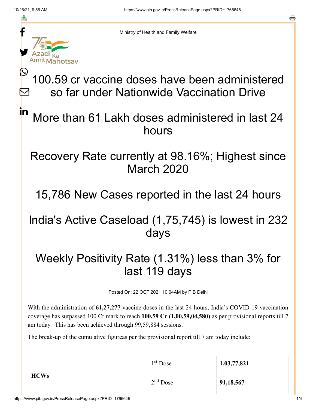≛

 $\bm{\nabla}$ 

in

a



Ministry of Health and Family Welfare

# 100.59 cr vaccine doses have been administered so far under Nationwide Vaccination Drive

## More than 61 Lakh doses administered in last 24 hours

#### Recovery Rate currently at 98.16%; Highest since March 2020

15,786 New Cases reported in the last 24 hours

## India's Active Caseload (1,75,745) is lowest in 232 days

## Weekly Positivity Rate (1.31%) less than 3% for last 119 days

Posted On: 22 OCT 2021 10:04AM by PIB Delhi

With the administration of **61,27,277** vaccine doses in the last 24 hours, India's COVID-19 vaccination coverage has surpassed 100 Cr mark to reach **100.59 Cr (1,00,59,04,580)** as per provisional reports till 7 am today. This has been achieved through 99,59,884 sessions.

The break-up of the cumulative figureas per the provisional report till 7 am today include:

| <b>HCWs</b> | 1 <sup>st</sup> Dose | 1,03,77,821 |
|-------------|----------------------|-------------|
|             | $2nd$ Dose           | 91,18,567   |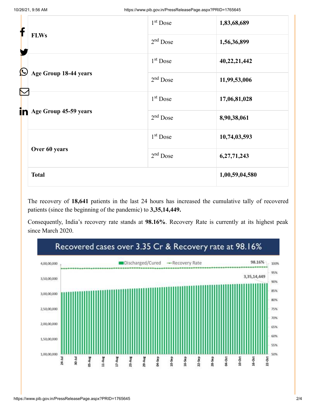| f                     |                       | $1st$ Dose           | 1,83,68,689    |
|-----------------------|-----------------------|----------------------|----------------|
|                       | <b>FLWs</b>           | $2nd$ Dose           | 1,56,36,899    |
| $\bigcirc$            |                       | $1st$ Dose           | 40,22,21,442   |
| Age Group 18-44 years |                       | $2nd$ Dose           | 11,99,53,006   |
| $\color{red}\sum$     |                       | 1 <sup>st</sup> Dose | 17,06,81,028   |
| in                    | Age Group 45-59 years | $2nd$ Dose           | 8,90,38,061    |
|                       |                       | $1st$ Dose           | 10,74,03,593   |
|                       | Over 60 years         | $2nd$ Dose           | 6,27,71,243    |
|                       | <b>Total</b>          |                      | 1,00,59,04,580 |

The recovery of **18,641** patients in the last 24 hours has increased the cumulative tally of recovered patients (since the beginning of the pandemic) to **3,35,14,449.**

Consequently, India's recovery rate stands at **98.16%**. Recovery Rate is currently at its highest peak since March 2020.

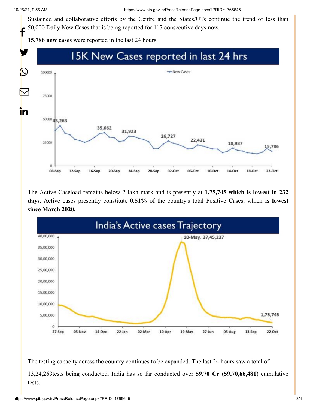Sustained and collaborative efforts by the Centre and the States/UTs continue the trend of less than 50,000 Daily New Cases that is being reported for 117 consecutive days now. f

**15,786 new cases** were reported in the last 24 hours.



The Active Caseload remains below 2 lakh mark and is presently at **1,75,745 which is lowest in 232 days.** Active cases presently constitute **0.51%** of the country's total Positive Cases, which **is lowest since March 2020.**



The testing capacity across the country continues to be expanded. The last 24 hours saw a total of 13,24,263tests being conducted. India has so far conducted over **59.70 Cr (59,70,66,481**) cumulative tests.